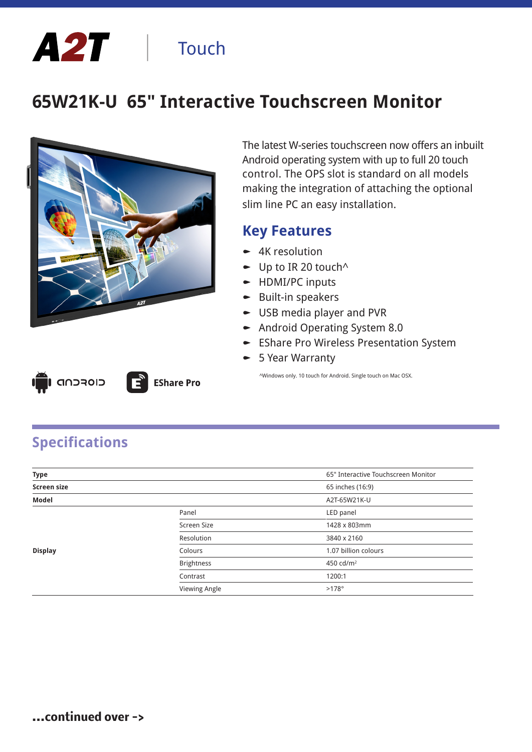# A2T | Touch

# **65W21K-U 65" Interactive Touchscreen Monitor**



**EShare Pro** 

The latest W-series touchscreen now offers an inbuilt Android operating system with up to full 20 touch control. The OPS slot is standard on all models making the integration of attaching the optional slim line PC an easy installation.

#### **Key Features**

- $\blacktriangleright$  4K resolution
- $\bullet$  Up to IR 20 touch<sup> $\land$ </sup>
- $\blacktriangleright$  HDMI/PC inputs
- $\bullet$  Built-in speakers
- $\bullet$  USB media player and PVR
- $\blacktriangleright$  Android Operating System 8.0
- EShare Pro Wireless Presentation System
- $\blacktriangleright$  5 Year Warranty

^Windows only. 10 touch for Android. Single touch on Mac OSX.

| Ш | LI GADROID |  |
|---|------------|--|
|   |            |  |

**Specifications**

| <b>Type</b>        |                   | 65" Interactive Touchscreen Monitor |
|--------------------|-------------------|-------------------------------------|
| <b>Screen size</b> |                   | 65 inches (16:9)                    |
| Model              |                   | A2T-65W21K-U                        |
|                    | Panel             | LED panel                           |
|                    | Screen Size       | 1428 x 803mm                        |
|                    | Resolution        | 3840 x 2160                         |
| <b>Display</b>     | Colours           | 1.07 billion colours                |
|                    | <b>Brightness</b> | 450 cd/m <sup>2</sup>               |
|                    | Contrast          | 1200:1                              |
|                    | Viewing Angle     | $>178^\circ$                        |